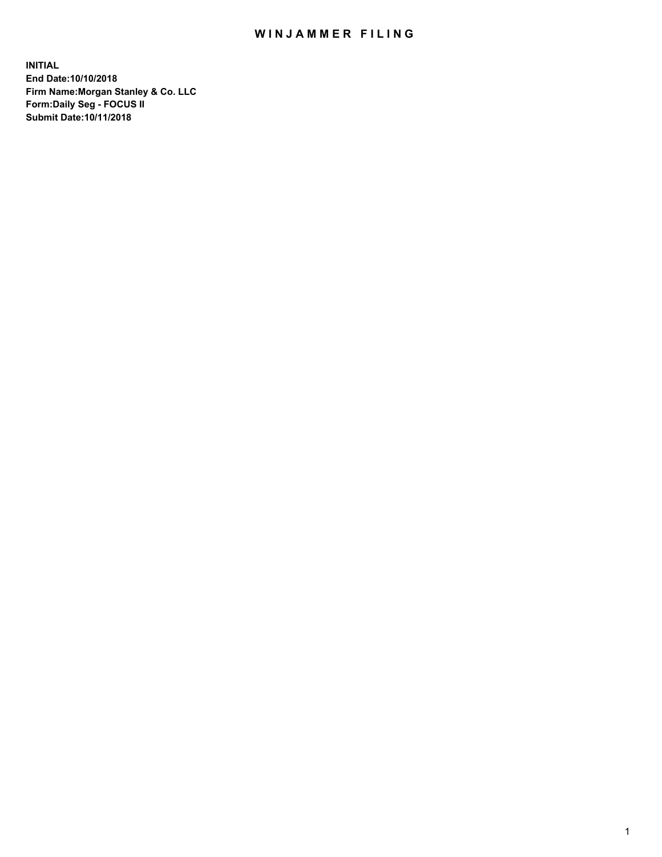## WIN JAMMER FILING

**INITIAL End Date:10/10/2018 Firm Name:Morgan Stanley & Co. LLC Form:Daily Seg - FOCUS II Submit Date:10/11/2018**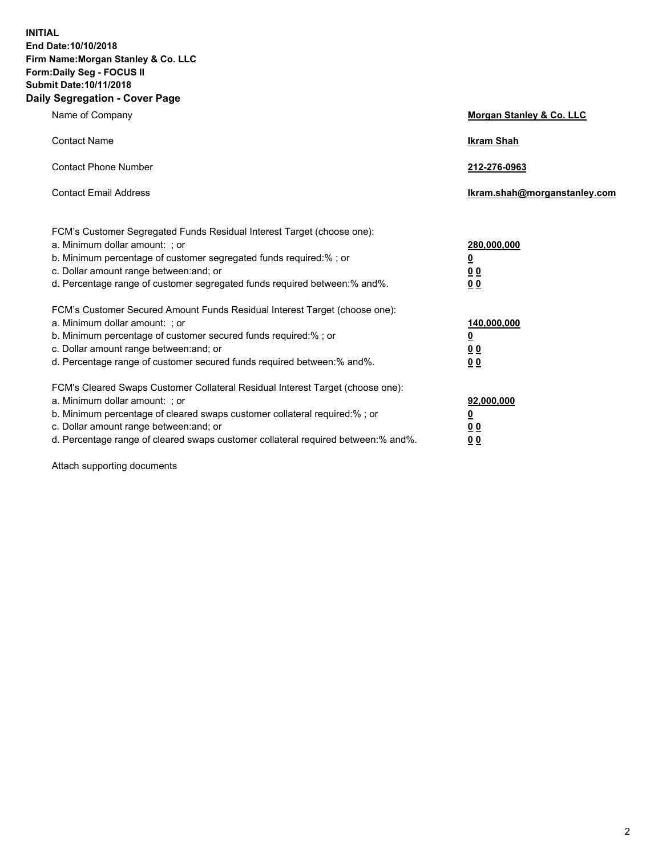**INITIAL End Date:10/10/2018 Firm Name:Morgan Stanley & Co. LLC Form:Daily Seg - FOCUS II Submit Date:10/11/2018 Daily Segregation - Cover Page**

| Name of Company                                                                   | Morgan Stanley & Co. LLC     |
|-----------------------------------------------------------------------------------|------------------------------|
| <b>Contact Name</b>                                                               | <b>Ikram Shah</b>            |
| <b>Contact Phone Number</b>                                                       | 212-276-0963                 |
| <b>Contact Email Address</b>                                                      | Ikram.shah@morganstanley.com |
| FCM's Customer Segregated Funds Residual Interest Target (choose one):            |                              |
| a. Minimum dollar amount: ; or                                                    | 280,000,000                  |
| b. Minimum percentage of customer segregated funds required:% ; or                | <u>0</u>                     |
| c. Dollar amount range between: and; or                                           | <u>0 0</u>                   |
| d. Percentage range of customer segregated funds required between: % and %.       | 0 Q                          |
| FCM's Customer Secured Amount Funds Residual Interest Target (choose one):        |                              |
| a. Minimum dollar amount: ; or                                                    | 140,000,000                  |
| b. Minimum percentage of customer secured funds required:%; or                    | <u>0</u>                     |
| c. Dollar amount range between: and; or                                           | 0 <sub>0</sub>               |
| d. Percentage range of customer secured funds required between:% and%.            | 0 <sub>0</sub>               |
| FCM's Cleared Swaps Customer Collateral Residual Interest Target (choose one):    |                              |
| a. Minimum dollar amount: ; or                                                    | 92,000,000                   |
| b. Minimum percentage of cleared swaps customer collateral required:% ; or        | <u>0</u>                     |
| c. Dollar amount range between: and; or                                           | 0 Q                          |
| d. Percentage range of cleared swaps customer collateral required between:% and%. | 00                           |

Attach supporting documents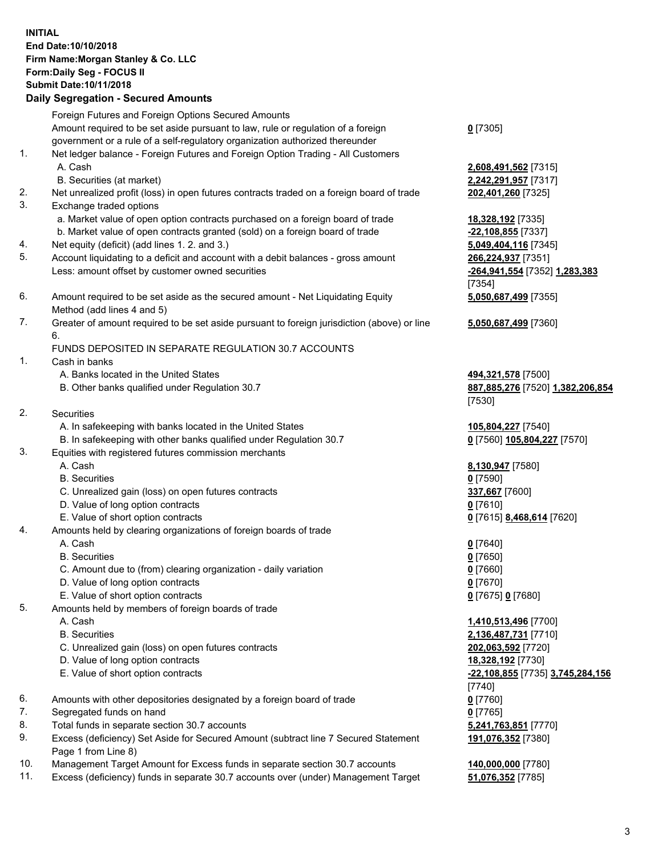## **INITIAL End Date:10/10/2018 Firm Name:Morgan Stanley & Co. LLC Form:Daily Seg - FOCUS II Submit Date:10/11/2018**

## **Daily Segregation - Secured Amounts**

Foreign Futures and Foreign Options Secured Amounts Amount required to be set aside pursuant to law, rule or regulation of a foreign government or a rule of a self-regulatory organization authorized thereunder

- 1. Net ledger balance Foreign Futures and Foreign Option Trading All Customers A. Cash **2,608,491,562** [7315]
	- B. Securities (at market) **2,242,291,957** [7317]
- 2. Net unrealized profit (loss) in open futures contracts traded on a foreign board of trade **202,401,260** [7325]
- 3. Exchange traded options
	- a. Market value of open option contracts purchased on a foreign board of trade **18,328,192** [7335]
	- b. Market value of open contracts granted (sold) on a foreign board of trade **-22,108,855** [7337]
- 4. Net equity (deficit) (add lines 1. 2. and 3.) **5,049,404,116** [7345]
- 5. Account liquidating to a deficit and account with a debit balances gross amount **266,224,937** [7351] Less: amount offset by customer owned securities **-264,941,554** [7352] **1,283,383**
- 6. Amount required to be set aside as the secured amount Net Liquidating Equity Method (add lines 4 and 5)
- 7. Greater of amount required to be set aside pursuant to foreign jurisdiction (above) or line 6.

## FUNDS DEPOSITED IN SEPARATE REGULATION 30.7 ACCOUNTS

- 1. Cash in banks
	- A. Banks located in the United States **494,321,578** [7500]
	- B. Other banks qualified under Regulation 30.7 **887,885,276** [7520] **1,382,206,854**
- 2. Securities
	- A. In safekeeping with banks located in the United States **105,804,227** [7540]
	- B. In safekeeping with other banks qualified under Regulation 30.7 **0** [7560] **105,804,227** [7570]
- 3. Equities with registered futures commission merchants
	-
	- B. Securities **0** [7590]
	- C. Unrealized gain (loss) on open futures contracts **337,667** [7600]
	- D. Value of long option contracts **0** [7610]
- E. Value of short option contracts **0** [7615] **8,468,614** [7620]
- 4. Amounts held by clearing organizations of foreign boards of trade
	- A. Cash **0** [7640]
	- B. Securities **0** [7650]
	- C. Amount due to (from) clearing organization daily variation **0** [7660]
	- D. Value of long option contracts **0** [7670]
	- E. Value of short option contracts **0** [7675] **0** [7680]
- 5. Amounts held by members of foreign boards of trade
	-
	-
	- C. Unrealized gain (loss) on open futures contracts **202,063,592** [7720]
	- D. Value of long option contracts **18,328,192** [7730]
	- E. Value of short option contracts **-22,108,855** [7735] **3,745,284,156**
- 6. Amounts with other depositories designated by a foreign board of trade **0** [7760]
- 7. Segregated funds on hand **0** [7765]
- 8. Total funds in separate section 30.7 accounts **5,241,763,851** [7770]
- 9. Excess (deficiency) Set Aside for Secured Amount (subtract line 7 Secured Statement Page 1 from Line 8)
- 10. Management Target Amount for Excess funds in separate section 30.7 accounts **140,000,000** [7780]
- 11. Excess (deficiency) funds in separate 30.7 accounts over (under) Management Target **51,076,352** [7785]

**0** [7305]

[7354] **5,050,687,499** [7355]

**5,050,687,499** [7360]

[7530]

A. Cash **8,130,947** [7580]

 A. Cash **1,410,513,496** [7700] B. Securities **2,136,487,731** [7710] [7740] **191,076,352** [7380]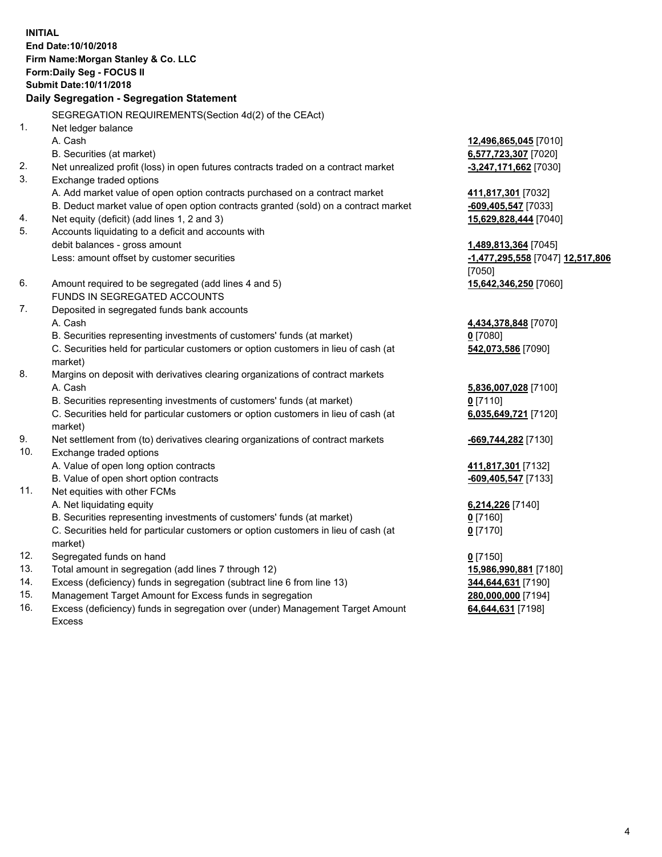**INITIAL End Date:10/10/2018 Firm Name:Morgan Stanley & Co. LLC Form:Daily Seg - FOCUS II Submit Date:10/11/2018 Daily Segregation - Segregation Statement** SEGREGATION REQUIREMENTS(Section 4d(2) of the CEAct) 1. Net ledger balance A. Cash **12,496,865,045** [7010] B. Securities (at market) **6,577,723,307** [7020] 2. Net unrealized profit (loss) in open futures contracts traded on a contract market **-3,247,171,662** [7030] 3. Exchange traded options A. Add market value of open option contracts purchased on a contract market **411,817,301** [7032] B. Deduct market value of open option contracts granted (sold) on a contract market **-609,405,547** [7033] 4. Net equity (deficit) (add lines 1, 2 and 3) **15,629,828,444** [7040] 5. Accounts liquidating to a deficit and accounts with debit balances - gross amount **1,489,813,364** [7045] Less: amount offset by customer securities **-1,477,295,558** [7047] **12,517,806** [7050] 6. Amount required to be segregated (add lines 4 and 5) **15,642,346,250** [7060] FUNDS IN SEGREGATED ACCOUNTS 7. Deposited in segregated funds bank accounts A. Cash **4,434,378,848** [7070] B. Securities representing investments of customers' funds (at market) **0** [7080] C. Securities held for particular customers or option customers in lieu of cash (at market) **542,073,586** [7090] 8. Margins on deposit with derivatives clearing organizations of contract markets A. Cash **5,836,007,028** [7100] B. Securities representing investments of customers' funds (at market) **0** [7110] C. Securities held for particular customers or option customers in lieu of cash (at market) **6,035,649,721** [7120] 9. Net settlement from (to) derivatives clearing organizations of contract markets **-669,744,282** [7130] 10. Exchange traded options A. Value of open long option contracts **411,817,301** [7132] B. Value of open short option contracts **-609,405,547** [7133] 11. Net equities with other FCMs A. Net liquidating equity **6,214,226** [7140] B. Securities representing investments of customers' funds (at market) **0** [7160] C. Securities held for particular customers or option customers in lieu of cash (at market) **0** [7170] 12. Segregated funds on hand **0** [7150] 13. Total amount in segregation (add lines 7 through 12) **15,986,990,881** [7180] 14. Excess (deficiency) funds in segregation (subtract line 6 from line 13) **344,644,631** [7190]

- 15. Management Target Amount for Excess funds in segregation **280,000,000** [7194]
- 16. Excess (deficiency) funds in segregation over (under) Management Target Amount Excess

**64,644,631** [7198]